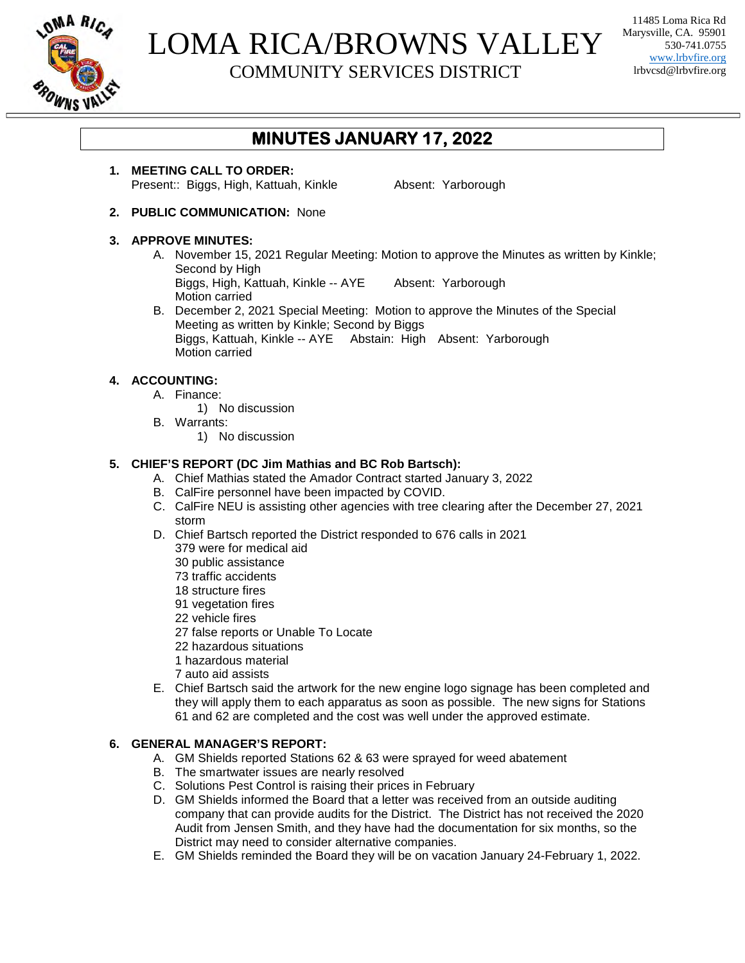

# LOMA RICA/BROWNS VALLEY

COMMUNITY SERVICES DISTRICT

11485 Loma Rica Rd Marysville, CA. 95901 530-741.0755 www.lrbvfire.org lrbvcsd@lrbvfire.org

## **MINUTES JANUARY 17, 2022**

**1. MEETING CALL TO ORDER:** Present:: Biggs, High, Kattuah, Kinkle **Absent: Yarborough** 

**2. PUBLIC COMMUNICATION:** None

#### **3. APPROVE MINUTES:**

- A. November 15, 2021 Regular Meeting: Motion to approve the Minutes as written by Kinkle; Second by High Biggs, High, Kattuah, Kinkle -- AYE Absent: Yarborough Motion carried
- B. December 2, 2021 Special Meeting: Motion to approve the Minutes of the Special Meeting as written by Kinkle; Second by Biggs Biggs, Kattuah, Kinkle -- AYE Abstain: High Absent: Yarborough Motion carried

### **4. ACCOUNTING:**

- A. Finance:
	- 1) No discussion
- B. Warrants:
	- 1) No discussion

#### **5. CHIEF'S REPORT (DC Jim Mathias and BC Rob Bartsch):**

- A. Chief Mathias stated the Amador Contract started January 3, 2022
- B. CalFire personnel have been impacted by COVID.
- C. CalFire NEU is assisting other agencies with tree clearing after the December 27, 2021 storm
- D. Chief Bartsch reported the District responded to 676 calls in 2021 379 were for medical aid
	- 30 public assistance
	- 73 traffic accidents
	- 18 structure fires
	- 91 vegetation fires
	- 22 vehicle fires
	- 27 false reports or Unable To Locate
	- 22 hazardous situations
	- 1 hazardous material
	- 7 auto aid assists
- E. Chief Bartsch said the artwork for the new engine logo signage has been completed and they will apply them to each apparatus as soon as possible. The new signs for Stations 61 and 62 are completed and the cost was well under the approved estimate.

#### **6. GENERAL MANAGER'S REPORT:**

- A. GM Shields reported Stations 62 & 63 were sprayed for weed abatement
- B. The smartwater issues are nearly resolved
- C. Solutions Pest Control is raising their prices in February
- D. GM Shields informed the Board that a letter was received from an outside auditing company that can provide audits for the District. The District has not received the 2020 Audit from Jensen Smith, and they have had the documentation for six months, so the District may need to consider alternative companies.
- E. GM Shields reminded the Board they will be on vacation January 24-February 1, 2022.